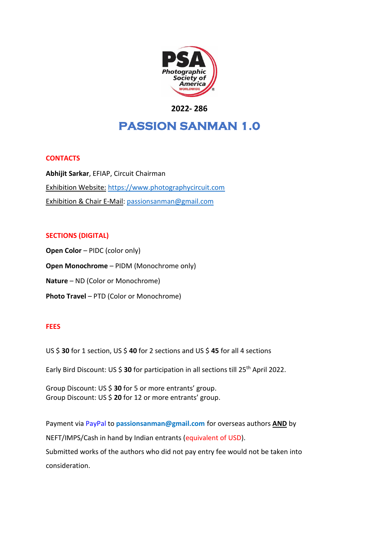

# **2022- 286**

# **PASSION SANMAN 1.0**

## **CONTACTS**

**Abhijit Sarkar**, EFIAP, Circuit Chairman Exhibition Website: [https://www.photographycircuit.com](https://www.photographycircuit.com/) Exhibition & Chair E-Mail: [passionsanman@gmail.com](mailto:passionsanman@gmail.com)

## **SECTIONS (DIGITAL)**

**Open Color** – PIDC (color only) **Open Monochrome** – PIDM (Monochrome only) **Nature** – ND (Color or Monochrome) **Photo Travel** – PTD (Color or Monochrome)

#### **FEES**

US \$ **30** for 1 section, US \$ **40** for 2 sections and US \$ **45** for all 4 sections

Early Bird Discount: US \$ **30** for participation in all sections till 25th April 2022.

Group Discount: US \$ **30** for 5 or more entrants' group. Group Discount: US \$ **20** for 12 or more entrants' group.

Payment via PayPal to **passionsanman@gmail.com** for overseas authors **AND** by NEFT/IMPS/Cash in hand by Indian entrants (equivalent of USD). Submitted works of the authors who did not pay entry fee would not be taken into consideration.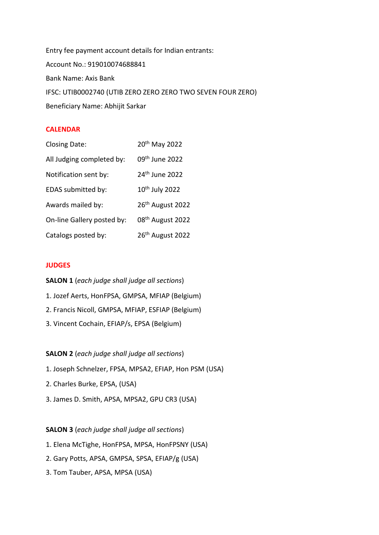Entry fee payment account details for Indian entrants: Account No.: 919010074688841 Bank Name: Axis Bank IFSC: UTIB0002740 (UTIB ZERO ZERO ZERO TWO SEVEN FOUR ZERO) Beneficiary Name: Abhijit Sarkar

## **CALENDAR**

| <b>Closing Date:</b>       | 20 <sup>th</sup> May 2022    |
|----------------------------|------------------------------|
| All Judging completed by:  | 09 <sup>th</sup> June 2022   |
| Notification sent by:      | 24 <sup>th</sup> June 2022   |
| EDAS submitted by:         | 10 <sup>th</sup> July 2022   |
| Awards mailed by:          | 26 <sup>th</sup> August 2022 |
| On-line Gallery posted by: | 08 <sup>th</sup> August 2022 |
| Catalogs posted by:        | 26 <sup>th</sup> August 2022 |

#### **JUDGES**

**SALON 1** (*each judge shall judge all sections*)

1. Jozef Aerts, HonFPSA, GMPSA, MFIAP (Belgium)

- 2. Francis Nicoll, GMPSA, MFIAP, ESFIAP (Belgium)
- 3. Vincent Cochain, EFIAP/s, EPSA (Belgium)

## **SALON 2** (*each judge shall judge all sections*)

- 1. Joseph Schnelzer, FPSA, MPSA2, EFIAP, Hon PSM (USA)
- 2. Charles Burke, EPSA, (USA)
- 3. James D. Smith, APSA, MPSA2, GPU CR3 (USA)

#### **SALON 3** (*each judge shall judge all sections*)

- 1. Elena McTighe, HonFPSA, MPSA, HonFPSNY (USA)
- 2. Gary Potts, APSA, GMPSA, SPSA, EFIAP/g (USA)
- 3. Tom Tauber, APSA, MPSA (USA)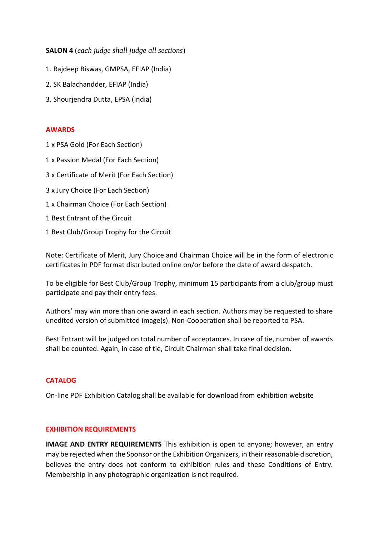## **SALON 4** (*each judge shall judge all sections*)

- 1. Rajdeep Biswas, GMPSA, EFIAP (India)
- 2. SK Balachandder, EFIAP (India)
- 3. Shourjendra Dutta, EPSA (India)

#### **AWARDS**

- 1 x PSA Gold (For Each Section)
- 1 x Passion Medal (For Each Section)
- 3 x Certificate of Merit (For Each Section)
- 3 x Jury Choice (For Each Section)
- 1 x Chairman Choice (For Each Section)
- 1 Best Entrant of the Circuit
- 1 Best Club/Group Trophy for the Circuit

Note: Certificate of Merit, Jury Choice and Chairman Choice will be in the form of electronic certificates in PDF format distributed online on/or before the date of award despatch.

To be eligible for Best Club/Group Trophy, minimum 15 participants from a club/group must participate and pay their entry fees.

Authors' may win more than one award in each section. Authors may be requested to share unedited version of submitted image(s). Non-Cooperation shall be reported to PSA.

Best Entrant will be judged on total number of acceptances. In case of tie, number of awards shall be counted. Again, in case of tie, Circuit Chairman shall take final decision.

#### **CATALOG**

On-line PDF Exhibition Catalog shall be available for download from exhibition website

#### **EXHIBITION REQUIREMENTS**

**IMAGE AND ENTRY REQUIREMENTS** This exhibition is open to anyone; however, an entry may be rejected when the Sponsor or the Exhibition Organizers, in their reasonable discretion, believes the entry does not conform to exhibition rules and these Conditions of Entry. Membership in any photographic organization is not required.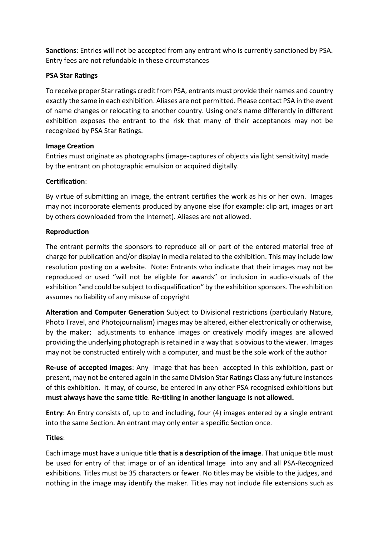**Sanctions**: Entries will not be accepted from any entrant who is currently sanctioned by PSA. Entry fees are not refundable in these circumstances

# **PSA Star Ratings**

To receive proper Star ratings credit from PSA, entrants must provide their names and country exactly the same in each exhibition. Aliases are not permitted. Please contact PSA in the event of name changes or relocating to another country. Using one's name differently in different exhibition exposes the entrant to the risk that many of their acceptances may not be recognized by PSA Star Ratings.

## **Image Creation**

Entries must originate as photographs (image-captures of objects via light sensitivity) made by the entrant on photographic emulsion or acquired digitally.

# **Certification**:

By virtue of submitting an image, the entrant certifies the work as his or her own. Images may not incorporate elements produced by anyone else (for example: clip art, images or art by others downloaded from the Internet). Aliases are not allowed.

# **Reproduction**

The entrant permits the sponsors to reproduce all or part of the entered material free of charge for publication and/or display in media related to the exhibition. This may include low resolution posting on a website. Note: Entrants who indicate that their images may not be reproduced or used "will not be eligible for awards" or inclusion in audio-visuals of the exhibition "and could be subject to disqualification" by the exhibition sponsors. The exhibition assumes no liability of any misuse of copyright

**Alteration and Computer Generation** Subject to Divisional restrictions (particularly Nature, Photo Travel, and Photojournalism) images may be altered, either electronically or otherwise, by the maker; adjustments to enhance images or creatively modify images are allowed providing the underlying photograph is retained in a way that is obvious to the viewer. Images may not be constructed entirely with a computer, and must be the sole work of the author

**Re-use of accepted images**: Any image that has been accepted in this exhibition, past or present, may not be entered again in the same Division Star Ratings Class any future instances of this exhibition. It may, of course, be entered in any other PSA recognised exhibitions but **must always have the same title**. **Re-titling in another language is not allowed.**

**Entry**: An Entry consists of, up to and including, four (4) images entered by a single entrant into the same Section. An entrant may only enter a specific Section once.

# **Titles**:

Each image must have a unique title **that is a description of the image**. That unique title must be used for entry of that image or of an identical Image into any and all PSA-Recognized exhibitions. Titles must be 35 characters or fewer. No titles may be visible to the judges, and nothing in the image may identify the maker. Titles may not include file extensions such as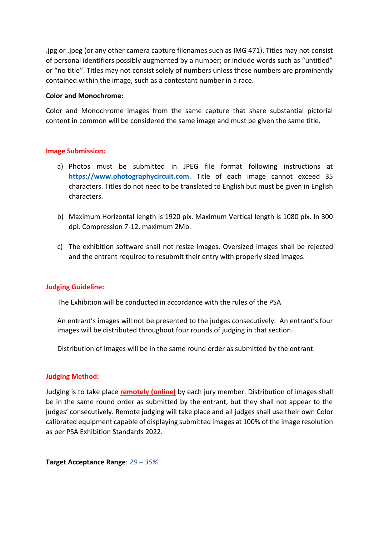.jpg or .jpeg (or any other camera capture filenames such as IMG 471). Titles may not consist of personal identifiers possibly augmented by a number; or include words such as "untitled" or "no title". Titles may not consist solely of numbers unless those numbers are prominently contained within the image, such as a contestant number in a race.

#### **Color and Monochrome:**

Color and Monochrome images from the same capture that share substantial pictorial content in common will be considered the same image and must be given the same title.

#### **Image Submission:**

- a) Photos must be submitted in JPEG file format following instructions at **[https://www.photographycircuit.com](https://www.photographycircuit.com/)**. Title of each image cannot exceed 35 characters. Titles do not need to be translated to English but must be given in English characters.
- b) Maximum Horizontal length is 1920 pix. Maximum Vertical length is 1080 pix. In 300 dpi. Compression 7-12, maximum 2Mb.
- c) The exhibition software shall not resize images. Oversized images shall be rejected and the entrant required to resubmit their entry with properly sized images.

#### **Judging Guideline:**

The Exhibition will be conducted in accordance with the rules of the PSA

An entrant's images will not be presented to the judges consecutively. An entrant's four images will be distributed throughout four rounds of judging in that section.

Distribution of images will be in the same round order as submitted by the entrant.

#### **Judging Method:**

Judging is to take place **remotely (online)** by each jury member. Distribution of images shall be in the same round order as submitted by the entrant, but they shall not appear to the judges' consecutively. Remote judging will take place and all judges shall use their own Color calibrated equipment capable of displaying submitted images at 100% of the image resolution as per PSA Exhibition Standards 2022.

**Target Acceptance Range**: *29 – 35%*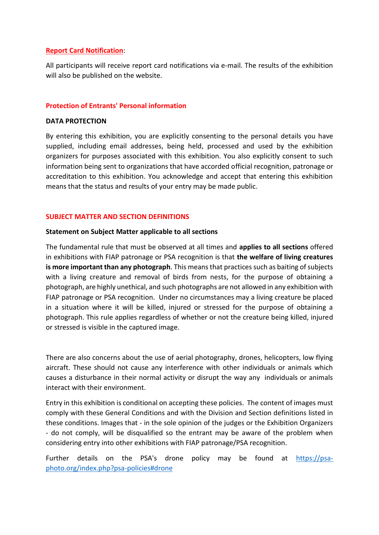## **Report Card Notification**:

All participants will receive report card notifications via e-mail. The results of the exhibition will also be published on the website.

#### **Protection of Entrants' Personal information**

#### **DATA PROTECTION**

By entering this exhibition, you are explicitly consenting to the personal details you have supplied, including email addresses, being held, processed and used by the exhibition organizers for purposes associated with this exhibition. You also explicitly consent to such information being sent to organizations that have accorded official recognition, patronage or accreditation to this exhibition. You acknowledge and accept that entering this exhibition means that the status and results of your entry may be made public.

## **SUBJECT MATTER AND SECTION DEFINITIONS**

#### **Statement on Subject Matter applicable to all sections**

The fundamental rule that must be observed at all times and **applies to all sections** offered in exhibitions with FIAP patronage or PSA recognition is that **the welfare of living creatures is more important than any photograph**. This means that practices such as baiting of subjects with a living creature and removal of birds from nests, for the purpose of obtaining a photograph, are highly unethical, and such photographs are not allowed in any exhibition with FIAP patronage or PSA recognition. Under no circumstances may a living creature be placed in a situation where it will be killed, injured or stressed for the purpose of obtaining a photograph. This rule applies regardless of whether or not the creature being killed, injured or stressed is visible in the captured image.

There are also concerns about the use of aerial photography, drones, helicopters, low flying aircraft. These should not cause any interference with other individuals or animals which causes a disturbance in their normal activity or disrupt the way any individuals or animals interact with their environment.

Entry in this exhibition is conditional on accepting these policies. The content of images must comply with these General Conditions and with the Division and Section definitions listed in these conditions. Images that - in the sole opinion of the judges or the Exhibition Organizers - do not comply, will be disqualified so the entrant may be aware of the problem when considering entry into other exhibitions with FIAP patronage/PSA recognition.

Further details on the PSA's drone policy may be found at [https://psa](https://psa-photo.org/index.php?psa-policies%23drone)[photo.org/index.php?psa-policies#drone](https://psa-photo.org/index.php?psa-policies%23drone)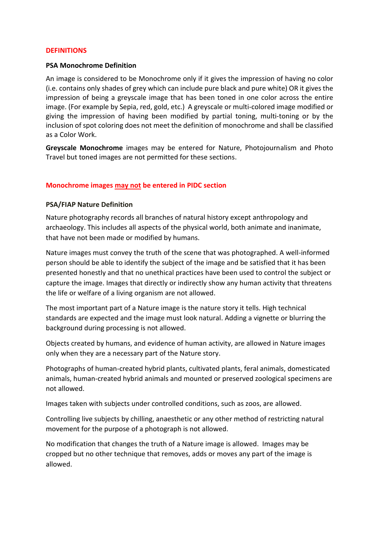#### **DEFINITIONS**

#### **PSA Monochrome Definition**

An image is considered to be Monochrome only if it gives the impression of having no color (i.e. contains only shades of grey which can include pure black and pure white) OR it gives the impression of being a greyscale image that has been toned in one color across the entire image. (For example by Sepia, red, gold, etc.) A greyscale or multi-colored image modified or giving the impression of having been modified by partial toning, multi-toning or by the inclusion of spot coloring does not meet the definition of monochrome and shall be classified as a Color Work.

**Greyscale Monochrome** images may be entered for Nature, Photojournalism and Photo Travel but toned images are not permitted for these sections.

#### **Monochrome images may not be entered in PIDC section**

#### **PSA/FIAP Nature Definition**

Nature photography records all branches of natural history except anthropology and archaeology. This includes all aspects of the physical world, both animate and inanimate, that have not been made or modified by humans.

Nature images must convey the truth of the scene that was photographed. A well-informed person should be able to identify the subject of the image and be satisfied that it has been presented honestly and that no unethical practices have been used to control the subject or capture the image. Images that directly or indirectly show any human activity that threatens the life or welfare of a living organism are not allowed.

The most important part of a Nature image is the nature story it tells. High technical standards are expected and the image must look natural. Adding a vignette or blurring the background during processing is not allowed.

Objects created by humans, and evidence of human activity, are allowed in Nature images only when they are a necessary part of the Nature story.

Photographs of human-created hybrid plants, cultivated plants, feral animals, domesticated animals, human-created hybrid animals and mounted or preserved zoological specimens are not allowed.

Images taken with subjects under controlled conditions, such as zoos, are allowed.

Controlling live subjects by chilling, anaesthetic or any other method of restricting natural movement for the purpose of a photograph is not allowed.

No modification that changes the truth of a Nature image is allowed. Images may be cropped but no other technique that removes, adds or moves any part of the image is allowed.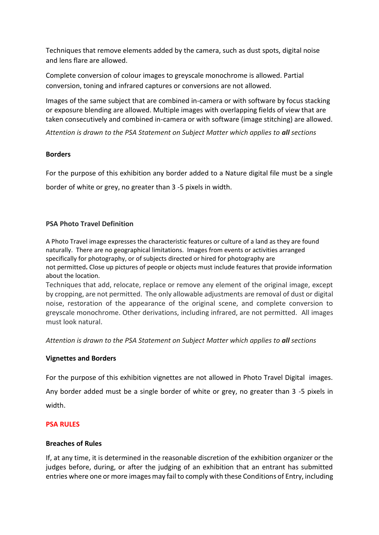Techniques that remove elements added by the camera, such as dust spots, digital noise and lens flare are allowed.

Complete conversion of colour images to greyscale monochrome is allowed. Partial conversion, toning and infrared captures or conversions are not allowed.

Images of the same subject that are combined in-camera or with software by focus stacking or exposure blending are allowed. Multiple images with overlapping fields of view that are taken consecutively and combined in-camera or with software (image stitching) are allowed.

*Attention is drawn to the PSA Statement on Subject Matter which applies to all sections*

## **Borders**

For the purpose of this exhibition any border added to a Nature digital file must be a single border of white or grey, no greater than 3 -5 pixels in width.

## **PSA Photo Travel Definition**

A Photo Travel image expresses the characteristic features or culture of a land as they are found naturally. There are no geographical limitations. Images from events or activities arranged specifically for photography, or of subjects directed or hired for photography are not permitted**.** Close up pictures of people or objects must include features that provide information about the location.

Techniques that add, relocate, replace or remove any element of the original image, except by cropping, are not permitted. The only allowable adjustments are removal of dust or digital noise, restoration of the appearance of the original scene, and complete conversion to greyscale monochrome. Other derivations, including infrared, are not permitted. All images must look natural.

*Attention is drawn to the PSA Statement on Subject Matter which applies to all sections*

#### **Vignettes and Borders**

For the purpose of this exhibition vignettes are not allowed in Photo Travel Digital images.

Any border added must be a single border of white or grey, no greater than 3 -5 pixels in width.

#### **PSA RULES**

#### **Breaches of Rules**

If, at any time, it is determined in the reasonable discretion of the exhibition organizer or the judges before, during, or after the judging of an exhibition that an entrant has submitted entries where one or more images may fail to comply with these Conditions of Entry, including